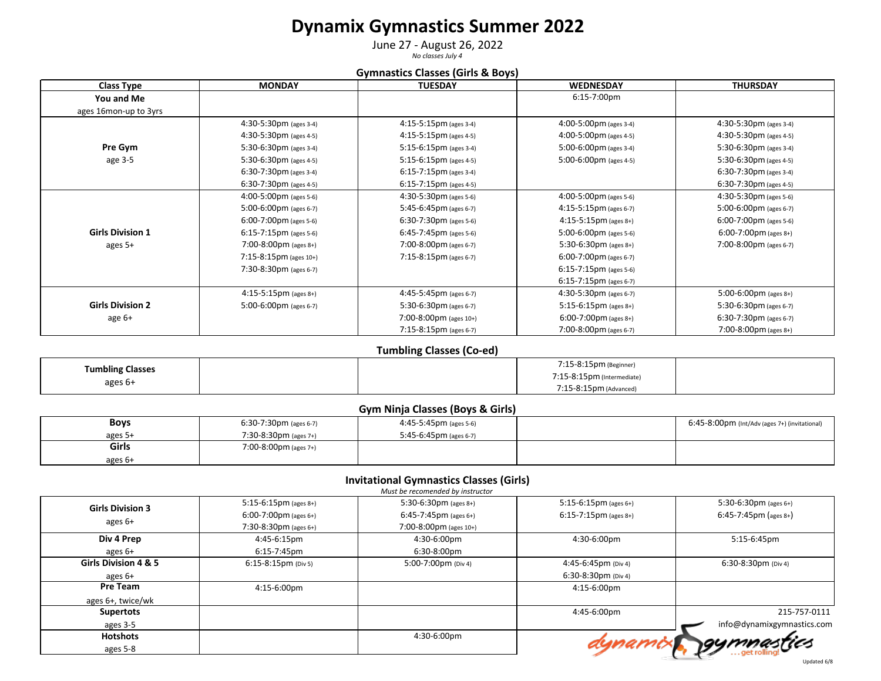# **Dynamix Gymnastics Summer 2022**

June 27 - August 26, 2022 *No classes July 4*

### **Gymnastics Classes (Girls & Boys)**

| Class Type              | <b>MONDAY</b>                    | <b>TUESDAY</b>                   | <b>WEDNESDAY</b>                 | <b>THURSDAY</b>                  |
|-------------------------|----------------------------------|----------------------------------|----------------------------------|----------------------------------|
| You and Me              |                                  |                                  | 6:15-7:00pm                      |                                  |
| ages 16mon-up to 3yrs   |                                  |                                  |                                  |                                  |
|                         | 4:30-5:30pm (ages 3-4)           | 4:15-5:15pm (ages 3-4)           | 4:00-5:00pm (ages 3-4)           | 4:30-5:30pm (ages 3-4)           |
|                         | 4:30-5:30pm (ages 4-5)           | $4:15-5:15 \text{pm}$ (ages 4-5) | 4:00-5:00pm (ages 4-5)           | $4:30-5:30 \text{pm}$ (ages 4-5) |
| Pre Gym                 | 5:30-6:30pm (ages 3-4)           | $5:15-6:15 \text{pm}$ (ages 3-4) | 5:00-6:00pm (ages 3-4)           | 5:30-6:30pm (ages 3-4)           |
| age 3-5                 | 5:30-6:30pm (ages 4-5)           | 5:15-6:15pm (ages 4-5)           | 5:00-6:00pm (ages 4-5)           | 5:30-6:30pm (ages 4-5)           |
|                         | 6:30-7:30pm (ages 3-4)           | 6:15-7:15pm (ages 3-4)           |                                  | $6:30-7:30 \text{pm}$ (ages 3-4) |
|                         | $6:30-7:30 \text{pm}$ (ages 4-5) | $6:15-7:15 \text{pm}$ (ages 4-5) |                                  | 6:30-7:30pm (ages 4-5)           |
|                         | $4:00-5:00 \text{pm}$ (ages 5-6) | $4:30-5:30 \text{pm}$ (ages 5-6) | 4:00-5:00pm (ages 5-6)           | 4:30-5:30pm (ages 5-6)           |
|                         | 5:00-6:00pm (ages 6-7)           | 5:45-6:45pm (ages 6-7)           | $4:15-5:15 \text{pm}$ (ages 6-7) | 5:00-6:00pm (ages 6-7)           |
|                         | $6:00-7:00 \text{pm}$ (ages 5-6) | 6:30-7:30pm (ages 5-6)           | $4:15-5:15 \text{pm}$ (ages 8+)  | $6:00-7:00 \text{pm}$ (ages 5-6) |
| <b>Girls Division 1</b> | 6:15-7:15pm (ages 5-6)           | 6:45-7:45pm (ages 5-6)           | 5:00-6:00pm (ages 5-6)           | $6:00-7:00 \text{pm}$ (ages 8+)  |
| ages 5+                 | 7:00-8:00pm (ages $8+$ )         | 7:00-8:00pm (ages 6-7)           | 5:30-6:30pm (ages $8+$ )         | 7:00-8:00pm (ages 6-7)           |
|                         | $7:15-8:15 \text{pm}$ (ages 10+) | 7:15-8:15pm (ages 6-7)           | $6:00-7:00 \text{pm}$ (ages 6-7) |                                  |
|                         | 7:30-8:30pm (ages 6-7)           |                                  | $6:15-7:15 \text{pm}$ (ages 5-6) |                                  |
|                         |                                  |                                  | $6:15-7:15 \text{pm}$ (ages 6-7) |                                  |
|                         | $4:15-5:15 \text{pm}$ (ages 8+)  | 4:45-5:45pm (ages 6-7)           | 4:30-5:30pm (ages 6-7)           | 5:00-6:00pm (ages 8+)            |
| <b>Girls Division 2</b> | 5:00-6:00pm (ages 6-7)           | 5:30-6:30pm (ages 6-7)           | $5:15-6:15 \text{pm}$ (ages 8+)  | 5:30-6:30pm (ages 6-7)           |
| age 6+                  |                                  | 7:00-8:00pm (ages $10+$ )        | 6:00-7:00pm (ages 8+)            | 6:30-7:30pm (ages 6-7)           |
|                         |                                  | 7:15-8:15pm (ages 6-7)           | 7:00-8:00pm (ages 6-7)           | 7:00-8:00pm (ages 8+)            |

## **Tumbling Classes (Co-ed)**

| <b>Tumbling Classes</b> |  | 7:15-8:15pm (Beginner)     |  |
|-------------------------|--|----------------------------|--|
| ages 6+                 |  | 7:15-8:15pm (Intermediate) |  |
|                         |  | 7:15-8:15pm (Advanced)     |  |

### **Gym Ninja Classes (Boys & Girls)**

| <b>Boys</b> | $6:30-7:30 \text{pm}$ (ages 6-7) | $4:45-5:45 \text{pm}$ (ages 5-6) | 6:45-8:00pm (Int/Adv (ages 7+) (invitational) |
|-------------|----------------------------------|----------------------------------|-----------------------------------------------|
| ages 5-     | $7:30-8:30 \text{pm}$ (ages 7+)  | 5:45-6:45pm (ages 6-7)           |                                               |
| Girls       | 7:00-8:00pm (ages 7+)            |                                  |                                               |
| ages 6+     |                                  |                                  |                                               |

## **Invitational Gymnastics Classes (Girls)**

|                         |                                 | Must be recomended by instructor |                                 |                                 |
|-------------------------|---------------------------------|----------------------------------|---------------------------------|---------------------------------|
| <b>Girls Division 3</b> | $5:15-6:15 \text{pm}$ (ages 8+) | 5:30-6:30pm (ages $8+$ )         | $5:15-6:15 \text{pm}$ (ages 6+) | 5:30-6:30pm (ages $6+$ )        |
|                         | $6:00-7:00 \text{pm}$ (ages 6+) | $6:45-7:45 \text{pm}$ (ages 6+)  | $6:15-7:15 \text{pm}$ (ages 8+) | $6:45-7:45 \text{pm}$ (ages 8+) |
| ages 6+                 | $7:30-8:30 \text{pm}$ (ages 6+) | 7:00-8:00pm (ages 10+)           |                                 |                                 |
| Div 4 Prep              | 4:45-6:15pm                     | 4:30-6:00pm                      | 4:30-6:00pm                     | 5:15-6:45pm                     |
| ages 6+                 | 6:15-7:45pm                     | 6:30-8:00pm                      |                                 |                                 |
| Girls Division 4 & 5    | $6:15-8:15 \text{pm}$ (Div 5)   | 5:00-7:00pm (Div 4)              | 4:45-6:45pm (Div 4)             | $6:30-8:30$ pm (Div 4)          |
| ages 6+                 |                                 |                                  | 6:30-8:30pm (Div 4)             |                                 |
| Pre Team                | 4:15-6:00pm                     |                                  | 4:15-6:00pm                     |                                 |
| ages 6+, twice/wk       |                                 |                                  |                                 |                                 |
| <b>Supertots</b>        |                                 |                                  | 4:45-6:00pm                     | 215-757-0111                    |
| ages 3-5                |                                 |                                  |                                 | info@dynamixgymnastics.com      |
| <b>Hotshots</b>         |                                 | 4:30-6:00pm                      |                                 | rgymnastics                     |
| ages 5-8                |                                 |                                  |                                 |                                 |
|                         |                                 |                                  |                                 |                                 |